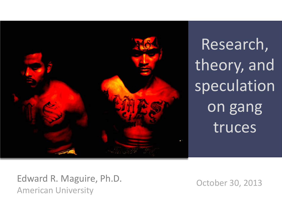

Research, theory, and speculation on gang truces

Edward R. Maguire, Ph.D. Cotober 30, 2013 American University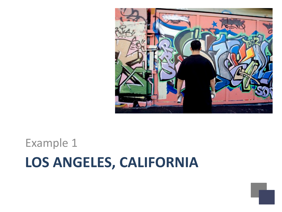#### **LOS ANGELES, CALIFORNIA** Example 1

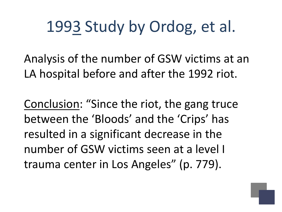# 1993 Study by Ordog, et al.

Analysis of the number of GSW victims at an LA hospital before and after the 1992 riot.

Conclusion: "Since the riot, the gang truce between the 'Bloods' and the 'Crips' has resulted in a significant decrease in the number of GSW victims seen at a level I trauma center in Los Angeles" (p. 779).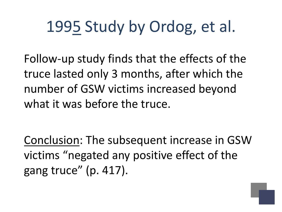# 1995 Study by Ordog, et al.

Follow-up study finds that the effects of the truce lasted only 3 months, after which the number of GSW victims increased beyond what it was before the truce.

Conclusion: The subsequent increase in GSW victims "negated any positive effect of the gang truce" (p. 417).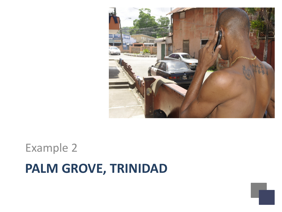

## **PALM GROVE, TRINIDAD** Example 2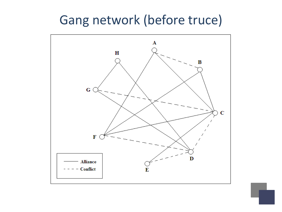#### Gang network (before truce)

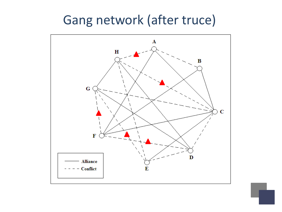#### Gang network (after truce)

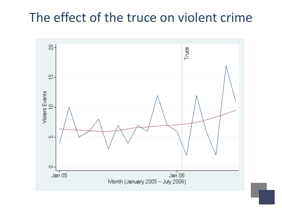#### The effect of the truce on violent crime

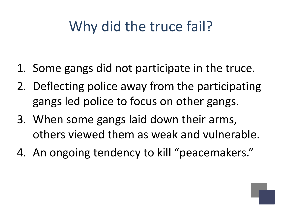## Why did the truce fail?

- 1. Some gangs did not participate in the truce.
- 2. Deflecting police away from the participating gangs led police to focus on other gangs.
- 3. When some gangs laid down their arms, others viewed them as weak and vulnerable.
- 4. An ongoing tendency to kill "peacemakers."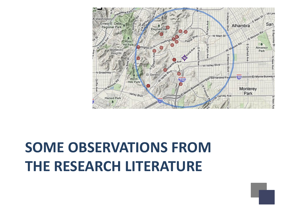# **SOME OBSERVATIONS FROM THE RESEARCH LITERATURE**

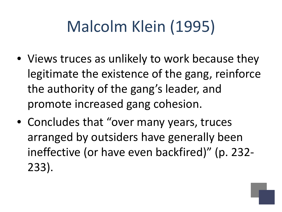# Malcolm Klein (1995)

- Views truces as unlikely to work because they legitimate the existence of the gang, reinforce the authority of the gang's leader, and promote increased gang cohesion.
- Concludes that "over many years, truces arranged by outsiders have generally been ineffective (or have even backfired)" (p. 232- 233).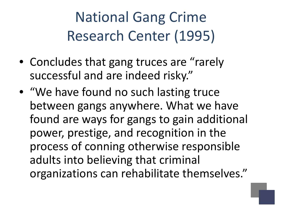National Gang Crime Research Center (1995)

- Concludes that gang truces are "rarely" successful and are indeed risky."
- "We have found no such lasting truce between gangs anywhere. What we have found are ways for gangs to gain additional power, prestige, and recognition in the process of conning otherwise responsible adults into believing that criminal organizations can rehabilitate themselves."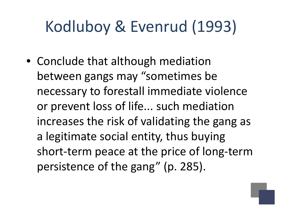# Kodluboy & Evenrud (1993)

• Conclude that although mediation between gangs may "sometimes be necessary to forestall immediate violence or prevent loss of life... such mediation increases the risk of validating the gang as a legitimate social entity, thus buying short-term peace at the price of long-term persistence of the gang" (p. 285).

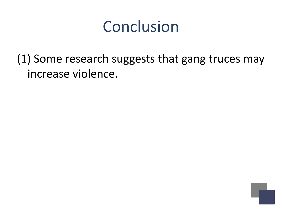(1) Some research suggests that gang truces may increase violence.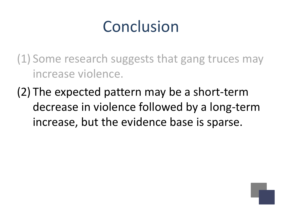(1) Some research suggests that gang truces may increase violence.

(2) The expected pattern may be a short-term decrease in violence followed by a long-term increase, but the evidence base is sparse.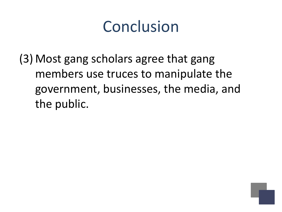(3) Most gang scholars agree that gang members use truces to manipulate the government, businesses, the media, and the public.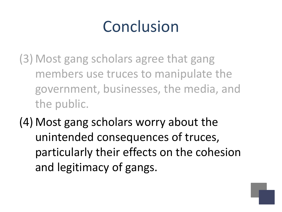(3) Most gang scholars agree that gang members use truces to manipulate the government, businesses, the media, and the public.

(4) Most gang scholars worry about the unintended consequences of truces, particularly their effects on the cohesion and legitimacy of gangs.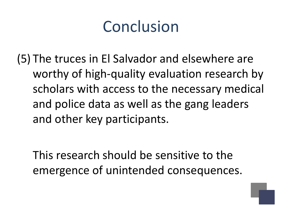(5) The truces in El Salvador and elsewhere are worthy of high-quality evaluation research by scholars with access to the necessary medical and police data as well as the gang leaders and other key participants.

This research should be sensitive to the emergence of unintended consequences.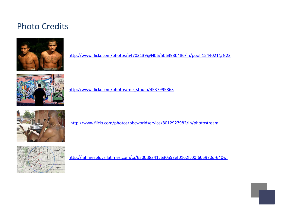#### Photo Credits



<http://www.flickr.com/photos/54703139@N06/5063930486/in/pool-1544021@N23>



[http://www.flickr.com/photos/me\\_studio/4537995863](http://www.flickr.com/photos/me_studio/4537995863)



<http://www.flickr.com/photos/bbcworldservice/8012927982/in/photostream>



<http://latimesblogs.latimes.com/.a/6a00d8341c630a53ef0162fc00f605970d-640wi>